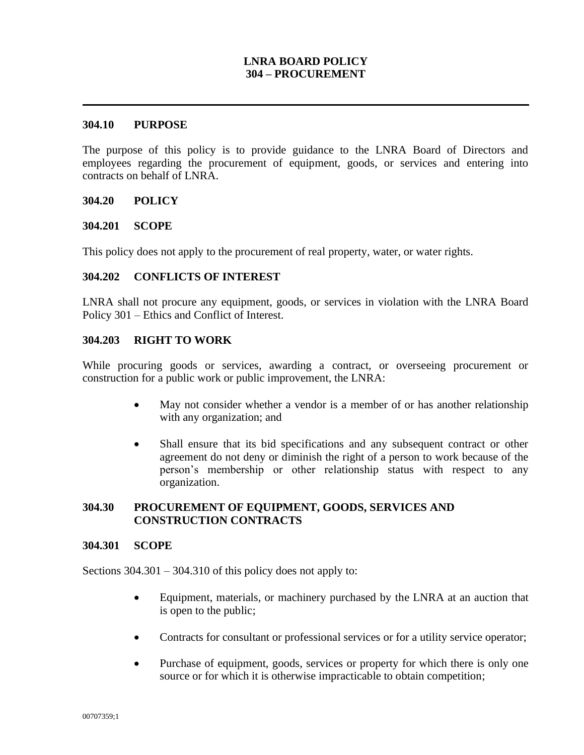## **LNRA BOARD POLICY 304 – PROCUREMENT**

#### **304.10 PURPOSE**

The purpose of this policy is to provide guidance to the LNRA Board of Directors and employees regarding the procurement of equipment, goods, or services and entering into contracts on behalf of LNRA.

#### **304.20 POLICY**

#### **304.201 SCOPE**

This policy does not apply to the procurement of real property, water, or water rights.

#### **304.202 CONFLICTS OF INTEREST**

LNRA shall not procure any equipment, goods, or services in violation with the LNRA Board Policy 301 – Ethics and Conflict of Interest.

#### **304.203 RIGHT TO WORK**

While procuring goods or services, awarding a contract, or overseeing procurement or construction for a public work or public improvement, the LNRA:

- May not consider whether a vendor is a member of or has another relationship with any organization; and
- Shall ensure that its bid specifications and any subsequent contract or other agreement do not deny or diminish the right of a person to work because of the person's membership or other relationship status with respect to any organization.

#### **304.30 PROCUREMENT OF EQUIPMENT, GOODS, SERVICES AND CONSTRUCTION CONTRACTS**

#### **304.301 SCOPE**

Sections  $304.301 - 304.310$  of this policy does not apply to:

- Equipment, materials, or machinery purchased by the LNRA at an auction that is open to the public;
- Contracts for consultant or professional services or for a utility service operator;
- Purchase of equipment, goods, services or property for which there is only one source or for which it is otherwise impracticable to obtain competition;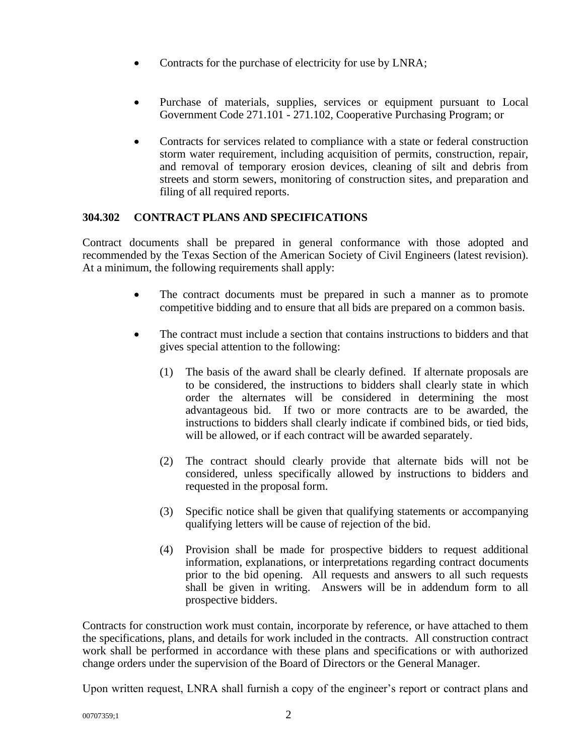- Contracts for the purchase of electricity for use by LNRA;
- Purchase of materials, supplies, services or equipment pursuant to Local Government Code 271.101 - 271.102, Cooperative Purchasing Program; or
- Contracts for services related to compliance with a state or federal construction storm water requirement, including acquisition of permits, construction, repair, and removal of temporary erosion devices, cleaning of silt and debris from streets and storm sewers, monitoring of construction sites, and preparation and filing of all required reports.

# **304.302 CONTRACT PLANS AND SPECIFICATIONS**

Contract documents shall be prepared in general conformance with those adopted and recommended by the Texas Section of the American Society of Civil Engineers (latest revision). At a minimum, the following requirements shall apply:

- The contract documents must be prepared in such a manner as to promote competitive bidding and to ensure that all bids are prepared on a common basis.
- The contract must include a section that contains instructions to bidders and that gives special attention to the following:
	- (1) The basis of the award shall be clearly defined. If alternate proposals are to be considered, the instructions to bidders shall clearly state in which order the alternates will be considered in determining the most advantageous bid. If two or more contracts are to be awarded, the instructions to bidders shall clearly indicate if combined bids, or tied bids, will be allowed, or if each contract will be awarded separately.
	- (2) The contract should clearly provide that alternate bids will not be considered, unless specifically allowed by instructions to bidders and requested in the proposal form.
	- (3) Specific notice shall be given that qualifying statements or accompanying qualifying letters will be cause of rejection of the bid.
	- (4) Provision shall be made for prospective bidders to request additional information, explanations, or interpretations regarding contract documents prior to the bid opening. All requests and answers to all such requests shall be given in writing. Answers will be in addendum form to all prospective bidders.

Contracts for construction work must contain, incorporate by reference, or have attached to them the specifications, plans, and details for work included in the contracts. All construction contract work shall be performed in accordance with these plans and specifications or with authorized change orders under the supervision of the Board of Directors or the General Manager.

Upon written request, LNRA shall furnish a copy of the engineer's report or contract plans and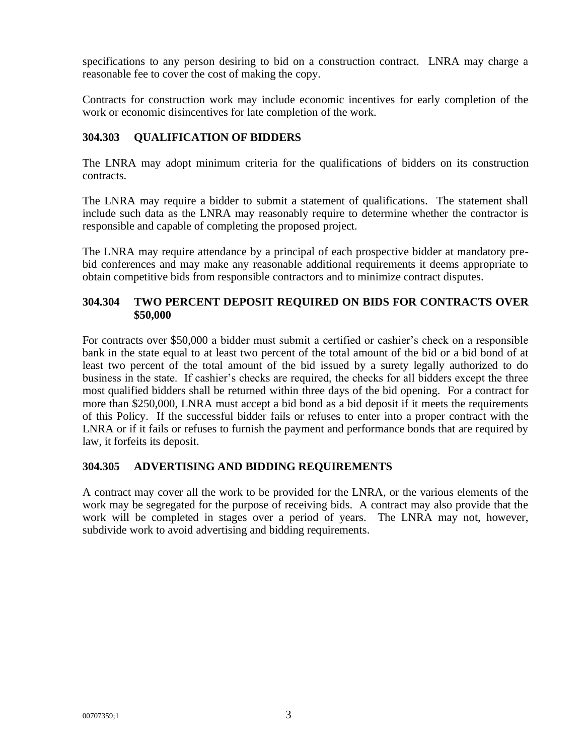specifications to any person desiring to bid on a construction contract. LNRA may charge a reasonable fee to cover the cost of making the copy.

Contracts for construction work may include economic incentives for early completion of the work or economic disincentives for late completion of the work.

# **304.303 QUALIFICATION OF BIDDERS**

The LNRA may adopt minimum criteria for the qualifications of bidders on its construction contracts.

The LNRA may require a bidder to submit a statement of qualifications. The statement shall include such data as the LNRA may reasonably require to determine whether the contractor is responsible and capable of completing the proposed project.

The LNRA may require attendance by a principal of each prospective bidder at mandatory prebid conferences and may make any reasonable additional requirements it deems appropriate to obtain competitive bids from responsible contractors and to minimize contract disputes.

## **304.304 TWO PERCENT DEPOSIT REQUIRED ON BIDS FOR CONTRACTS OVER \$50,000**

For contracts over \$50,000 a bidder must submit a certified or cashier's check on a responsible bank in the state equal to at least two percent of the total amount of the bid or a bid bond of at least two percent of the total amount of the bid issued by a surety legally authorized to do business in the state. If cashier's checks are required, the checks for all bidders except the three most qualified bidders shall be returned within three days of the bid opening. For a contract for more than \$250,000, LNRA must accept a bid bond as a bid deposit if it meets the requirements of this Policy. If the successful bidder fails or refuses to enter into a proper contract with the LNRA or if it fails or refuses to furnish the payment and performance bonds that are required by law, it forfeits its deposit.

# **304.305 ADVERTISING AND BIDDING REQUIREMENTS**

A contract may cover all the work to be provided for the LNRA, or the various elements of the work may be segregated for the purpose of receiving bids. A contract may also provide that the work will be completed in stages over a period of years. The LNRA may not, however, subdivide work to avoid advertising and bidding requirements.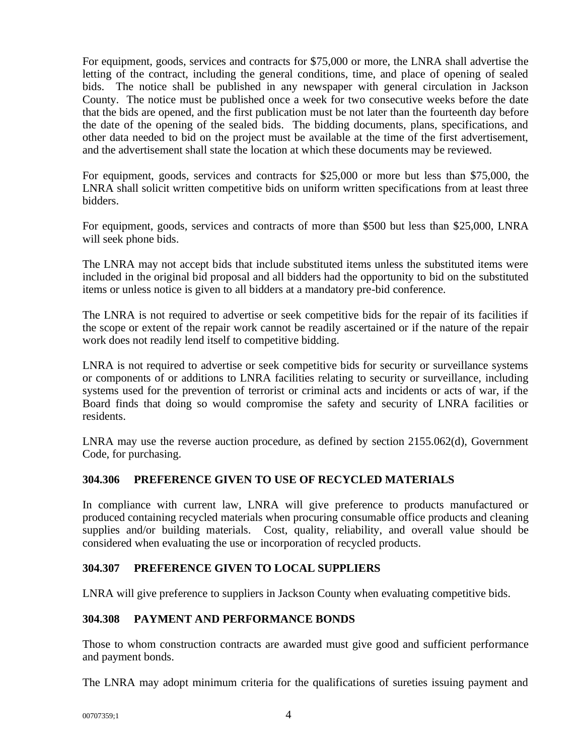For equipment, goods, services and contracts for \$75,000 or more, the LNRA shall advertise the letting of the contract, including the general conditions, time, and place of opening of sealed bids. The notice shall be published in any newspaper with general circulation in Jackson County. The notice must be published once a week for two consecutive weeks before the date that the bids are opened, and the first publication must be not later than the fourteenth day before the date of the opening of the sealed bids. The bidding documents, plans, specifications, and other data needed to bid on the project must be available at the time of the first advertisement, and the advertisement shall state the location at which these documents may be reviewed.

For equipment, goods, services and contracts for \$25,000 or more but less than \$75,000, the LNRA shall solicit written competitive bids on uniform written specifications from at least three bidders.

For equipment, goods, services and contracts of more than \$500 but less than \$25,000, LNRA will seek phone bids.

The LNRA may not accept bids that include substituted items unless the substituted items were included in the original bid proposal and all bidders had the opportunity to bid on the substituted items or unless notice is given to all bidders at a mandatory pre-bid conference.

The LNRA is not required to advertise or seek competitive bids for the repair of its facilities if the scope or extent of the repair work cannot be readily ascertained or if the nature of the repair work does not readily lend itself to competitive bidding.

LNRA is not required to advertise or seek competitive bids for security or surveillance systems or components of or additions to LNRA facilities relating to security or surveillance, including systems used for the prevention of terrorist or criminal acts and incidents or acts of war, if the Board finds that doing so would compromise the safety and security of LNRA facilities or residents.

LNRA may use the reverse auction procedure, as defined by section 2155.062(d), Government Code, for purchasing.

# **304.306 PREFERENCE GIVEN TO USE OF RECYCLED MATERIALS**

In compliance with current law, LNRA will give preference to products manufactured or produced containing recycled materials when procuring consumable office products and cleaning supplies and/or building materials. Cost, quality, reliability, and overall value should be considered when evaluating the use or incorporation of recycled products.

## **304.307 PREFERENCE GIVEN TO LOCAL SUPPLIERS**

LNRA will give preference to suppliers in Jackson County when evaluating competitive bids.

## **304.308 PAYMENT AND PERFORMANCE BONDS**

Those to whom construction contracts are awarded must give good and sufficient performance and payment bonds.

The LNRA may adopt minimum criteria for the qualifications of sureties issuing payment and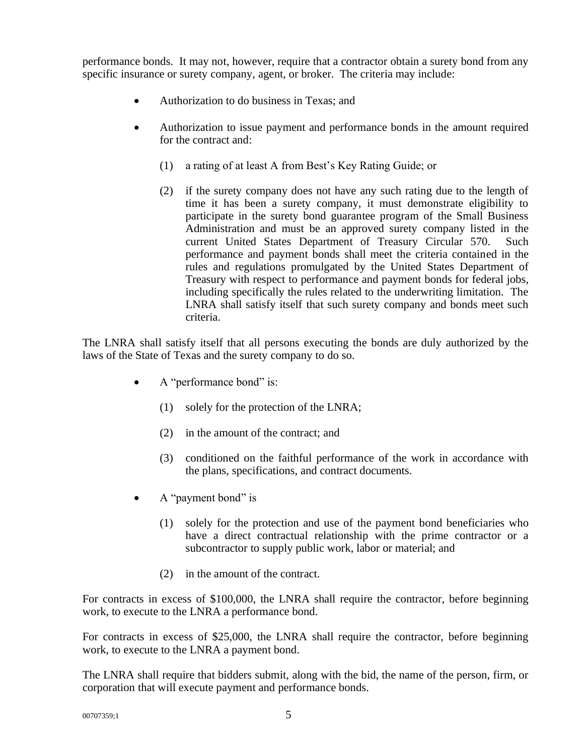performance bonds. It may not, however, require that a contractor obtain a surety bond from any specific insurance or surety company, agent, or broker. The criteria may include:

- Authorization to do business in Texas; and
- Authorization to issue payment and performance bonds in the amount required for the contract and:
	- (1) a rating of at least A from Best's Key Rating Guide; or
	- (2) if the surety company does not have any such rating due to the length of time it has been a surety company, it must demonstrate eligibility to participate in the surety bond guarantee program of the Small Business Administration and must be an approved surety company listed in the current United States Department of Treasury Circular 570. Such performance and payment bonds shall meet the criteria contained in the rules and regulations promulgated by the United States Department of Treasury with respect to performance and payment bonds for federal jobs, including specifically the rules related to the underwriting limitation. The LNRA shall satisfy itself that such surety company and bonds meet such criteria.

The LNRA shall satisfy itself that all persons executing the bonds are duly authorized by the laws of the State of Texas and the surety company to do so.

- A "performance bond" is:
	- (1) solely for the protection of the LNRA;
	- (2) in the amount of the contract; and
	- (3) conditioned on the faithful performance of the work in accordance with the plans, specifications, and contract documents.
- A "payment bond" is
	- (1) solely for the protection and use of the payment bond beneficiaries who have a direct contractual relationship with the prime contractor or a subcontractor to supply public work, labor or material; and
	- (2) in the amount of the contract.

For contracts in excess of \$100,000, the LNRA shall require the contractor, before beginning work, to execute to the LNRA a performance bond.

For contracts in excess of \$25,000, the LNRA shall require the contractor, before beginning work, to execute to the LNRA a payment bond.

The LNRA shall require that bidders submit, along with the bid, the name of the person, firm, or corporation that will execute payment and performance bonds.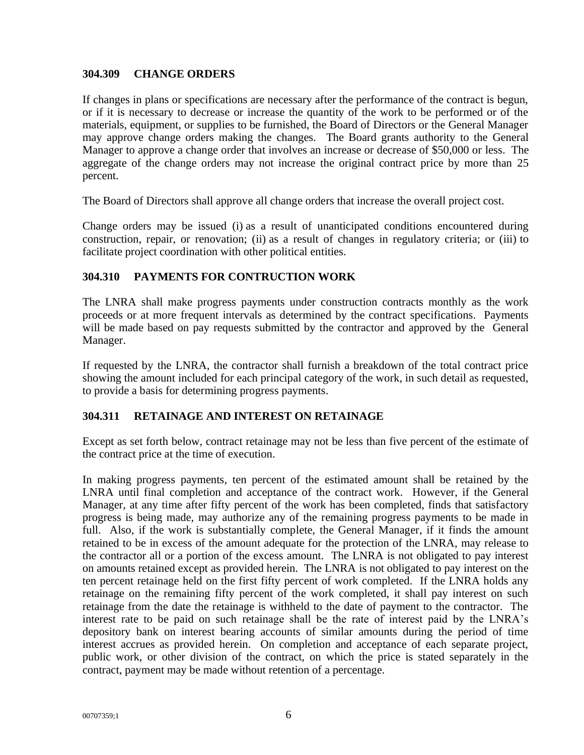## **304.309 CHANGE ORDERS**

If changes in plans or specifications are necessary after the performance of the contract is begun, or if it is necessary to decrease or increase the quantity of the work to be performed or of the materials, equipment, or supplies to be furnished, the Board of Directors or the General Manager may approve change orders making the changes. The Board grants authority to the General Manager to approve a change order that involves an increase or decrease of \$50,000 or less. The aggregate of the change orders may not increase the original contract price by more than 25 percent.

The Board of Directors shall approve all change orders that increase the overall project cost.

Change orders may be issued (i) as a result of unanticipated conditions encountered during construction, repair, or renovation; (ii) as a result of changes in regulatory criteria; or (iii) to facilitate project coordination with other political entities.

## **304.310 PAYMENTS FOR CONTRUCTION WORK**

The LNRA shall make progress payments under construction contracts monthly as the work proceeds or at more frequent intervals as determined by the contract specifications. Payments will be made based on pay requests submitted by the contractor and approved by the General Manager.

If requested by the LNRA, the contractor shall furnish a breakdown of the total contract price showing the amount included for each principal category of the work, in such detail as requested, to provide a basis for determining progress payments.

## **304.311 RETAINAGE AND INTEREST ON RETAINAGE**

Except as set forth below, contract retainage may not be less than five percent of the estimate of the contract price at the time of execution.

In making progress payments, ten percent of the estimated amount shall be retained by the LNRA until final completion and acceptance of the contract work. However, if the General Manager, at any time after fifty percent of the work has been completed, finds that satisfactory progress is being made, may authorize any of the remaining progress payments to be made in full. Also, if the work is substantially complete, the General Manager, if it finds the amount retained to be in excess of the amount adequate for the protection of the LNRA, may release to the contractor all or a portion of the excess amount. The LNRA is not obligated to pay interest on amounts retained except as provided herein. The LNRA is not obligated to pay interest on the ten percent retainage held on the first fifty percent of work completed. If the LNRA holds any retainage on the remaining fifty percent of the work completed, it shall pay interest on such retainage from the date the retainage is withheld to the date of payment to the contractor. The interest rate to be paid on such retainage shall be the rate of interest paid by the LNRA's depository bank on interest bearing accounts of similar amounts during the period of time interest accrues as provided herein. On completion and acceptance of each separate project, public work, or other division of the contract, on which the price is stated separately in the contract, payment may be made without retention of a percentage.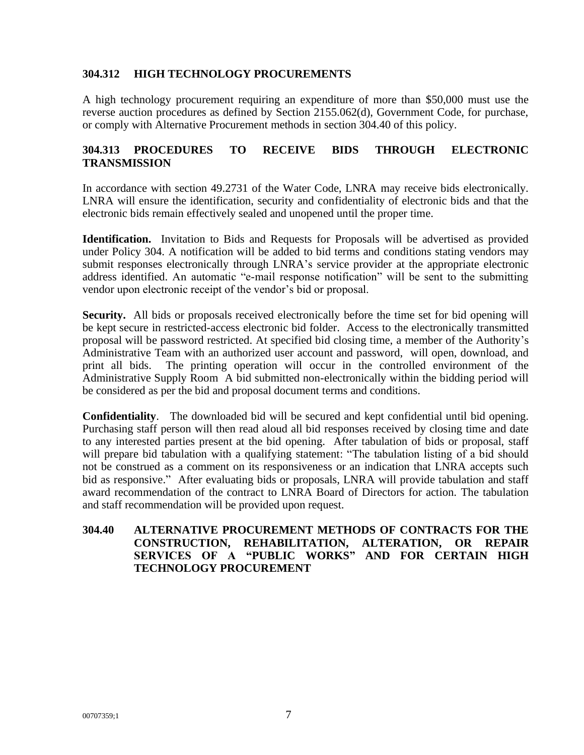## **304.312 HIGH TECHNOLOGY PROCUREMENTS**

A high technology procurement requiring an expenditure of more than \$50,000 must use the reverse auction procedures as defined by Section 2155.062(d), Government Code, for purchase, or comply with Alternative Procurement methods in section 304.40 of this policy.

## **304.313 PROCEDURES TO RECEIVE BIDS THROUGH ELECTRONIC TRANSMISSION**

In accordance with section 49.2731 of the Water Code, LNRA may receive bids electronically. LNRA will ensure the identification, security and confidentiality of electronic bids and that the electronic bids remain effectively sealed and unopened until the proper time.

**Identification.** Invitation to Bids and Requests for Proposals will be advertised as provided under Policy 304. A notification will be added to bid terms and conditions stating vendors may submit responses electronically through LNRA's service provider at the appropriate electronic address identified. An automatic "e-mail response notification" will be sent to the submitting vendor upon electronic receipt of the vendor's bid or proposal.

**Security.** All bids or proposals received electronically before the time set for bid opening will be kept secure in restricted-access electronic bid folder. Access to the electronically transmitted proposal will be password restricted. At specified bid closing time, a member of the Authority's Administrative Team with an authorized user account and password, will open, download, and print all bids. The printing operation will occur in the controlled environment of the Administrative Supply Room A bid submitted non-electronically within the bidding period will be considered as per the bid and proposal document terms and conditions.

**Confidentiality**. The downloaded bid will be secured and kept confidential until bid opening. Purchasing staff person will then read aloud all bid responses received by closing time and date to any interested parties present at the bid opening. After tabulation of bids or proposal, staff will prepare bid tabulation with a qualifying statement: "The tabulation listing of a bid should not be construed as a comment on its responsiveness or an indication that LNRA accepts such bid as responsive." After evaluating bids or proposals, LNRA will provide tabulation and staff award recommendation of the contract to LNRA Board of Directors for action. The tabulation and staff recommendation will be provided upon request.

#### **304.40 ALTERNATIVE PROCUREMENT METHODS OF CONTRACTS FOR THE CONSTRUCTION, REHABILITATION, ALTERATION, OR REPAIR SERVICES OF A "PUBLIC WORKS" AND FOR CERTAIN HIGH TECHNOLOGY PROCUREMENT**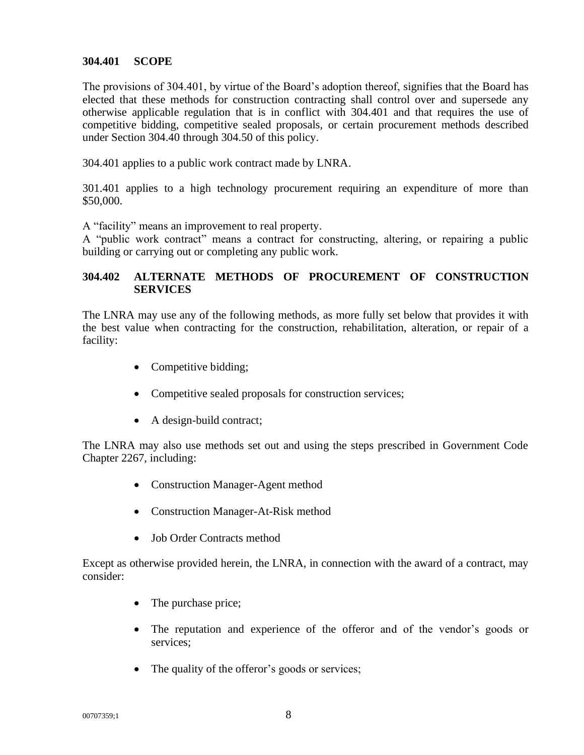#### **304.401 SCOPE**

The provisions of 304.401, by virtue of the Board's adoption thereof, signifies that the Board has elected that these methods for construction contracting shall control over and supersede any otherwise applicable regulation that is in conflict with 304.401 and that requires the use of competitive bidding, competitive sealed proposals, or certain procurement methods described under Section 304.40 through 304.50 of this policy.

304.401 applies to a public work contract made by LNRA.

301.401 applies to a high technology procurement requiring an expenditure of more than \$50,000.

A "facility" means an improvement to real property.

A "public work contract" means a contract for constructing, altering, or repairing a public building or carrying out or completing any public work.

## **304.402 ALTERNATE METHODS OF PROCUREMENT OF CONSTRUCTION SERVICES**

The LNRA may use any of the following methods, as more fully set below that provides it with the best value when contracting for the construction, rehabilitation, alteration, or repair of a facility:

- Competitive bidding;
- Competitive sealed proposals for construction services;
- A design-build contract;

The LNRA may also use methods set out and using the steps prescribed in Government Code Chapter 2267, including:

- Construction Manager-Agent method
- Construction Manager-At-Risk method
- Job Order Contracts method

Except as otherwise provided herein, the LNRA, in connection with the award of a contract, may consider:

- The purchase price;
- The reputation and experience of the offeror and of the vendor's goods or services;
- The quality of the offeror's goods or services;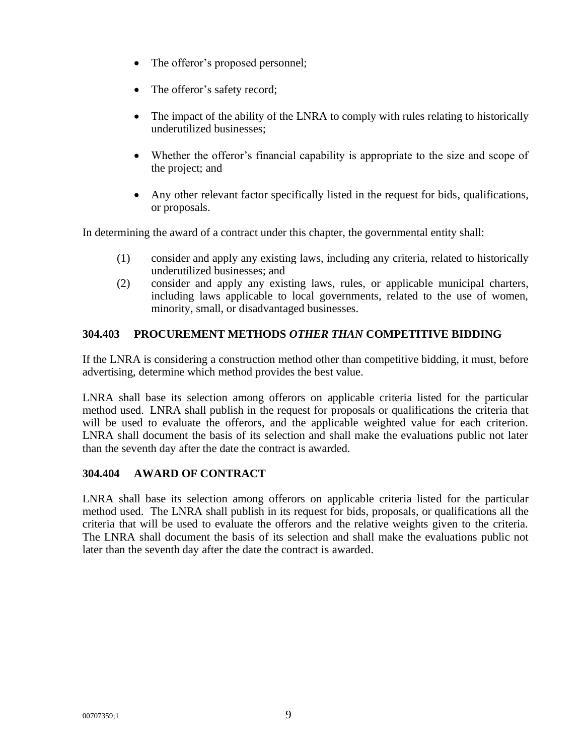- The offeror's proposed personnel;
- The offeror's safety record;
- The impact of the ability of the LNRA to comply with rules relating to historically underutilized businesses;
- Whether the offeror's financial capability is appropriate to the size and scope of the project; and
- Any other relevant factor specifically listed in the request for bids, qualifications, or proposals.

In determining the award of a contract under this chapter, the governmental entity shall:

- (1) consider and apply any existing laws, including any criteria, related to historically underutilized businesses; and
- (2) consider and apply any existing laws, rules, or applicable municipal charters, including laws applicable to local governments, related to the use of women, minority, small, or disadvantaged businesses.

# **304.403 PROCUREMENT METHODS** *OTHER THAN* **COMPETITIVE BIDDING**

If the LNRA is considering a construction method other than competitive bidding, it must, before advertising, determine which method provides the best value.

LNRA shall base its selection among offerors on applicable criteria listed for the particular method used. LNRA shall publish in the request for proposals or qualifications the criteria that will be used to evaluate the offerors, and the applicable weighted value for each criterion. LNRA shall document the basis of its selection and shall make the evaluations public not later than the seventh day after the date the contract is awarded.

## **304.404 AWARD OF CONTRACT**

LNRA shall base its selection among offerors on applicable criteria listed for the particular method used. The LNRA shall publish in its request for bids, proposals, or qualifications all the criteria that will be used to evaluate the offerors and the relative weights given to the criteria. The LNRA shall document the basis of its selection and shall make the evaluations public not later than the seventh day after the date the contract is awarded.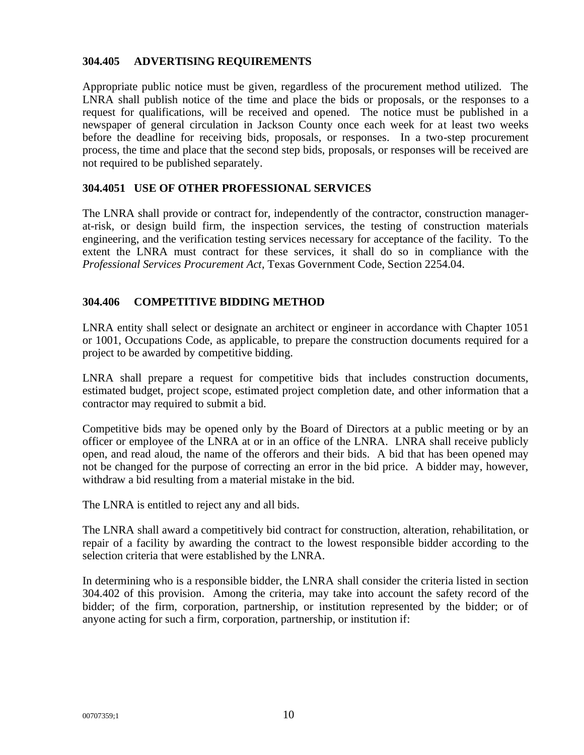#### **304.405 ADVERTISING REQUIREMENTS**

Appropriate public notice must be given, regardless of the procurement method utilized. The LNRA shall publish notice of the time and place the bids or proposals, or the responses to a request for qualifications, will be received and opened. The notice must be published in a newspaper of general circulation in Jackson County once each week for at least two weeks before the deadline for receiving bids, proposals, or responses. In a two-step procurement process, the time and place that the second step bids, proposals, or responses will be received are not required to be published separately.

#### **304.4051 USE OF OTHER PROFESSIONAL SERVICES**

The LNRA shall provide or contract for, independently of the contractor, construction managerat-risk, or design build firm, the inspection services, the testing of construction materials engineering, and the verification testing services necessary for acceptance of the facility. To the extent the LNRA must contract for these services, it shall do so in compliance with the *Professional Services Procurement Act*, Texas Government Code, Section 2254.04.

## **304.406 COMPETITIVE BIDDING METHOD**

LNRA entity shall select or designate an architect or engineer in accordance with Chapter 1051 or 1001, Occupations Code, as applicable, to prepare the construction documents required for a project to be awarded by competitive bidding.

LNRA shall prepare a request for competitive bids that includes construction documents, estimated budget, project scope, estimated project completion date, and other information that a contractor may required to submit a bid.

Competitive bids may be opened only by the Board of Directors at a public meeting or by an officer or employee of the LNRA at or in an office of the LNRA. LNRA shall receive publicly open, and read aloud, the name of the offerors and their bids. A bid that has been opened may not be changed for the purpose of correcting an error in the bid price. A bidder may, however, withdraw a bid resulting from a material mistake in the bid.

The LNRA is entitled to reject any and all bids.

The LNRA shall award a competitively bid contract for construction, alteration, rehabilitation, or repair of a facility by awarding the contract to the lowest responsible bidder according to the selection criteria that were established by the LNRA.

In determining who is a responsible bidder, the LNRA shall consider the criteria listed in section 304.402 of this provision. Among the criteria, may take into account the safety record of the bidder; of the firm, corporation, partnership, or institution represented by the bidder; or of anyone acting for such a firm, corporation, partnership, or institution if: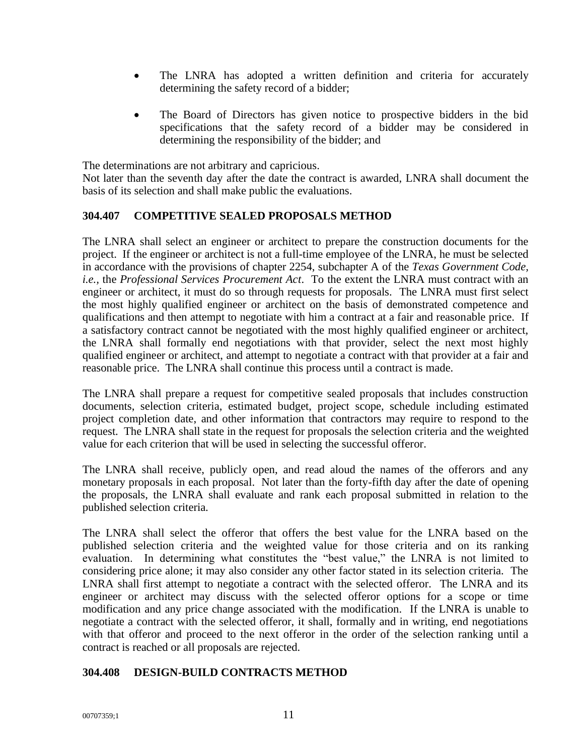- The LNRA has adopted a written definition and criteria for accurately determining the safety record of a bidder;
- The Board of Directors has given notice to prospective bidders in the bid specifications that the safety record of a bidder may be considered in determining the responsibility of the bidder; and

The determinations are not arbitrary and capricious.

Not later than the seventh day after the date the contract is awarded, LNRA shall document the basis of its selection and shall make public the evaluations.

## **304.407 COMPETITIVE SEALED PROPOSALS METHOD**

The LNRA shall select an engineer or architect to prepare the construction documents for the project. If the engineer or architect is not a full-time employee of the LNRA, he must be selected in accordance with the provisions of chapter 2254, subchapter A of the *Texas Government Code, i.e.,* the *Professional Services Procurement Act*. To the extent the LNRA must contract with an engineer or architect, it must do so through requests for proposals. The LNRA must first select the most highly qualified engineer or architect on the basis of demonstrated competence and qualifications and then attempt to negotiate with him a contract at a fair and reasonable price. If a satisfactory contract cannot be negotiated with the most highly qualified engineer or architect, the LNRA shall formally end negotiations with that provider, select the next most highly qualified engineer or architect, and attempt to negotiate a contract with that provider at a fair and reasonable price. The LNRA shall continue this process until a contract is made.

The LNRA shall prepare a request for competitive sealed proposals that includes construction documents, selection criteria, estimated budget, project scope, schedule including estimated project completion date, and other information that contractors may require to respond to the request. The LNRA shall state in the request for proposals the selection criteria and the weighted value for each criterion that will be used in selecting the successful offeror.

The LNRA shall receive, publicly open, and read aloud the names of the offerors and any monetary proposals in each proposal. Not later than the forty-fifth day after the date of opening the proposals, the LNRA shall evaluate and rank each proposal submitted in relation to the published selection criteria.

The LNRA shall select the offeror that offers the best value for the LNRA based on the published selection criteria and the weighted value for those criteria and on its ranking evaluation. In determining what constitutes the "best value," the LNRA is not limited to considering price alone; it may also consider any other factor stated in its selection criteria. The LNRA shall first attempt to negotiate a contract with the selected offeror. The LNRA and its engineer or architect may discuss with the selected offeror options for a scope or time modification and any price change associated with the modification. If the LNRA is unable to negotiate a contract with the selected offeror, it shall, formally and in writing, end negotiations with that offeror and proceed to the next offeror in the order of the selection ranking until a contract is reached or all proposals are rejected.

## **304.408 DESIGN-BUILD CONTRACTS METHOD**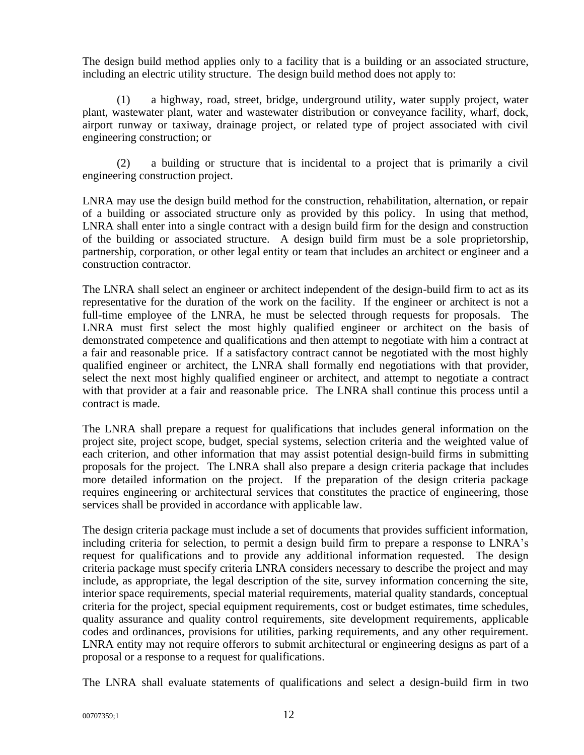The design build method applies only to a facility that is a building or an associated structure, including an electric utility structure. The design build method does not apply to:

(1) a highway, road, street, bridge, underground utility, water supply project, water plant, wastewater plant, water and wastewater distribution or conveyance facility, wharf, dock, airport runway or taxiway, drainage project, or related type of project associated with civil engineering construction; or

(2) a building or structure that is incidental to a project that is primarily a civil engineering construction project.

LNRA may use the design build method for the construction, rehabilitation, alternation, or repair of a building or associated structure only as provided by this policy. In using that method, LNRA shall enter into a single contract with a design build firm for the design and construction of the building or associated structure. A design build firm must be a sole proprietorship, partnership, corporation, or other legal entity or team that includes an architect or engineer and a construction contractor.

The LNRA shall select an engineer or architect independent of the design-build firm to act as its representative for the duration of the work on the facility. If the engineer or architect is not a full-time employee of the LNRA, he must be selected through requests for proposals. The LNRA must first select the most highly qualified engineer or architect on the basis of demonstrated competence and qualifications and then attempt to negotiate with him a contract at a fair and reasonable price. If a satisfactory contract cannot be negotiated with the most highly qualified engineer or architect, the LNRA shall formally end negotiations with that provider, select the next most highly qualified engineer or architect, and attempt to negotiate a contract with that provider at a fair and reasonable price. The LNRA shall continue this process until a contract is made.

The LNRA shall prepare a request for qualifications that includes general information on the project site, project scope, budget, special systems, selection criteria and the weighted value of each criterion, and other information that may assist potential design-build firms in submitting proposals for the project. The LNRA shall also prepare a design criteria package that includes more detailed information on the project. If the preparation of the design criteria package requires engineering or architectural services that constitutes the practice of engineering, those services shall be provided in accordance with applicable law.

The design criteria package must include a set of documents that provides sufficient information, including criteria for selection, to permit a design build firm to prepare a response to LNRA's request for qualifications and to provide any additional information requested. The design criteria package must specify criteria LNRA considers necessary to describe the project and may include, as appropriate, the legal description of the site, survey information concerning the site, interior space requirements, special material requirements, material quality standards, conceptual criteria for the project, special equipment requirements, cost or budget estimates, time schedules, quality assurance and quality control requirements, site development requirements, applicable codes and ordinances, provisions for utilities, parking requirements, and any other requirement. LNRA entity may not require offerors to submit architectural or engineering designs as part of a proposal or a response to a request for qualifications.

The LNRA shall evaluate statements of qualifications and select a design-build firm in two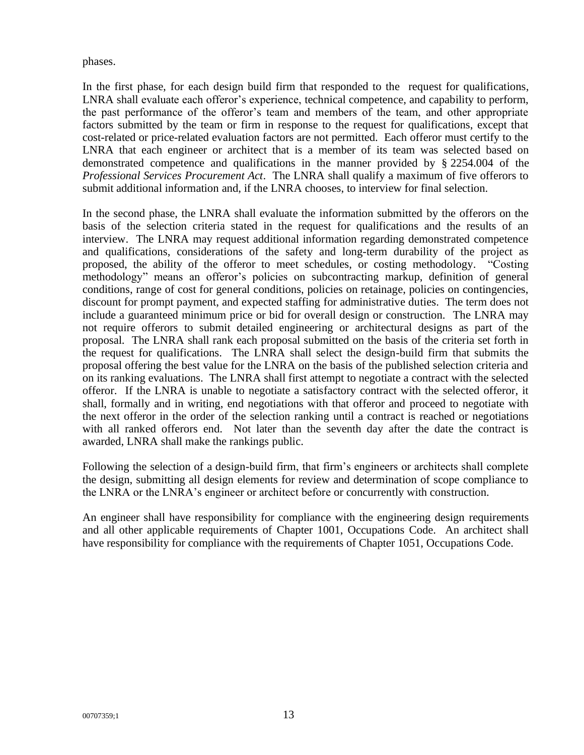phases.

In the first phase, for each design build firm that responded to the request for qualifications, LNRA shall evaluate each offeror's experience, technical competence, and capability to perform, the past performance of the offeror's team and members of the team, and other appropriate factors submitted by the team or firm in response to the request for qualifications, except that cost-related or price-related evaluation factors are not permitted. Each offeror must certify to the LNRA that each engineer or architect that is a member of its team was selected based on demonstrated competence and qualifications in the manner provided by § 2254.004 of the *Professional Services Procurement Act*. The LNRA shall qualify a maximum of five offerors to submit additional information and, if the LNRA chooses, to interview for final selection.

In the second phase, the LNRA shall evaluate the information submitted by the offerors on the basis of the selection criteria stated in the request for qualifications and the results of an interview. The LNRA may request additional information regarding demonstrated competence and qualifications, considerations of the safety and long-term durability of the project as proposed, the ability of the offeror to meet schedules, or costing methodology. "Costing methodology" means an offeror's policies on subcontracting markup, definition of general conditions, range of cost for general conditions, policies on retainage, policies on contingencies, discount for prompt payment, and expected staffing for administrative duties. The term does not include a guaranteed minimum price or bid for overall design or construction. The LNRA may not require offerors to submit detailed engineering or architectural designs as part of the proposal. The LNRA shall rank each proposal submitted on the basis of the criteria set forth in the request for qualifications. The LNRA shall select the design-build firm that submits the proposal offering the best value for the LNRA on the basis of the published selection criteria and on its ranking evaluations. The LNRA shall first attempt to negotiate a contract with the selected offeror. If the LNRA is unable to negotiate a satisfactory contract with the selected offeror, it shall, formally and in writing, end negotiations with that offeror and proceed to negotiate with the next offeror in the order of the selection ranking until a contract is reached or negotiations with all ranked offerors end. Not later than the seventh day after the date the contract is awarded, LNRA shall make the rankings public.

Following the selection of a design-build firm, that firm's engineers or architects shall complete the design, submitting all design elements for review and determination of scope compliance to the LNRA or the LNRA's engineer or architect before or concurrently with construction.

An engineer shall have responsibility for compliance with the engineering design requirements and all other applicable requirements of Chapter 1001, Occupations Code. An architect shall have responsibility for compliance with the requirements of Chapter 1051, Occupations Code.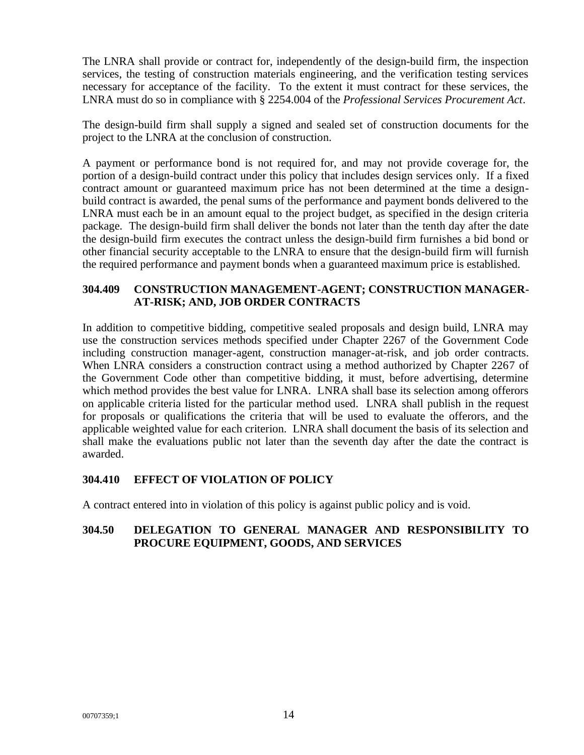The LNRA shall provide or contract for, independently of the design-build firm, the inspection services, the testing of construction materials engineering, and the verification testing services necessary for acceptance of the facility. To the extent it must contract for these services, the LNRA must do so in compliance with § 2254.004 of the *Professional Services Procurement Act*.

The design-build firm shall supply a signed and sealed set of construction documents for the project to the LNRA at the conclusion of construction.

A payment or performance bond is not required for, and may not provide coverage for, the portion of a design-build contract under this policy that includes design services only. If a fixed contract amount or guaranteed maximum price has not been determined at the time a designbuild contract is awarded, the penal sums of the performance and payment bonds delivered to the LNRA must each be in an amount equal to the project budget, as specified in the design criteria package. The design-build firm shall deliver the bonds not later than the tenth day after the date the design-build firm executes the contract unless the design-build firm furnishes a bid bond or other financial security acceptable to the LNRA to ensure that the design-build firm will furnish the required performance and payment bonds when a guaranteed maximum price is established.

## **304.409 CONSTRUCTION MANAGEMENT-AGENT; CONSTRUCTION MANAGER-AT-RISK; AND, JOB ORDER CONTRACTS**

In addition to competitive bidding, competitive sealed proposals and design build, LNRA may use the construction services methods specified under Chapter 2267 of the Government Code including construction manager-agent, construction manager-at-risk, and job order contracts. When LNRA considers a construction contract using a method authorized by Chapter 2267 of the Government Code other than competitive bidding, it must, before advertising, determine which method provides the best value for LNRA. LNRA shall base its selection among offerors on applicable criteria listed for the particular method used. LNRA shall publish in the request for proposals or qualifications the criteria that will be used to evaluate the offerors, and the applicable weighted value for each criterion. LNRA shall document the basis of its selection and shall make the evaluations public not later than the seventh day after the date the contract is awarded.

# **304.410 EFFECT OF VIOLATION OF POLICY**

A contract entered into in violation of this policy is against public policy and is void.

## **304.50 DELEGATION TO GENERAL MANAGER AND RESPONSIBILITY TO PROCURE EQUIPMENT, GOODS, AND SERVICES**